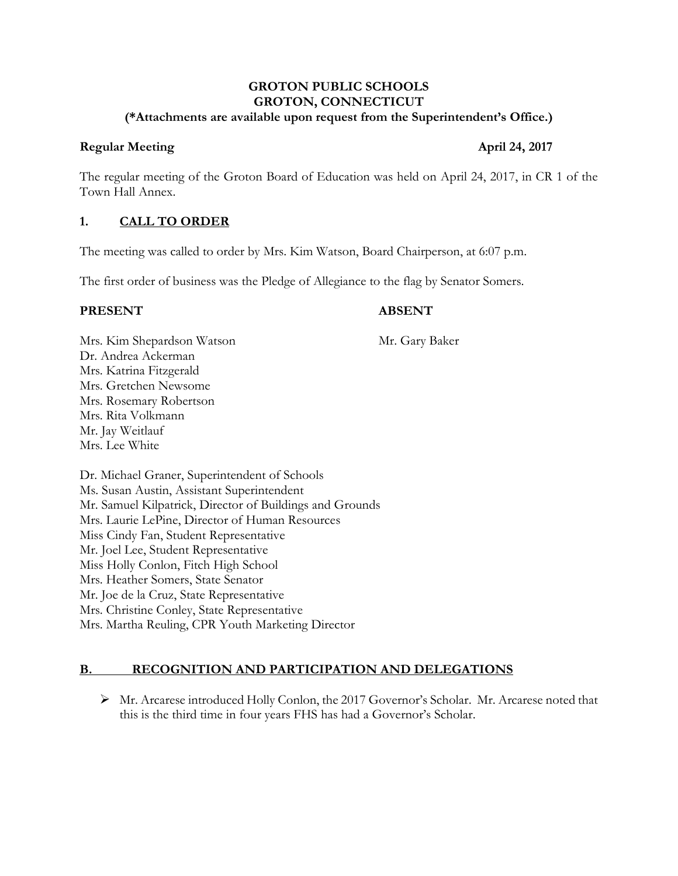#### **GROTON PUBLIC SCHOOLS GROTON, CONNECTICUT (\*Attachments are available upon request from the Superintendent's Office.)**

#### **Regular Meeting April 24, 2017**

The regular meeting of the Groton Board of Education was held on April 24, 2017, in CR 1 of the Town Hall Annex.

## **1. CALL TO ORDER**

The meeting was called to order by Mrs. Kim Watson, Board Chairperson, at 6:07 p.m.

The first order of business was the Pledge of Allegiance to the flag by Senator Somers.

#### **PRESENT ABSENT**

Mrs. Kim Shepardson Watson Mr. Gary Baker Dr. Andrea Ackerman Mrs. Katrina Fitzgerald Mrs. Gretchen Newsome Mrs. Rosemary Robertson Mrs. Rita Volkmann Mr. Jay Weitlauf Mrs. Lee White

Dr. Michael Graner, Superintendent of Schools Ms. Susan Austin, Assistant Superintendent Mr. Samuel Kilpatrick, Director of Buildings and Grounds Mrs. Laurie LePine, Director of Human Resources Miss Cindy Fan, Student Representative Mr. Joel Lee, Student Representative Miss Holly Conlon, Fitch High School Mrs. Heather Somers, State Senator Mr. Joe de la Cruz, State Representative Mrs. Christine Conley, State Representative Mrs. Martha Reuling, CPR Youth Marketing Director

# **B. RECOGNITION AND PARTICIPATION AND DELEGATIONS**

 Mr. Arcarese introduced Holly Conlon, the 2017 Governor's Scholar. Mr. Arcarese noted that this is the third time in four years FHS has had a Governor's Scholar.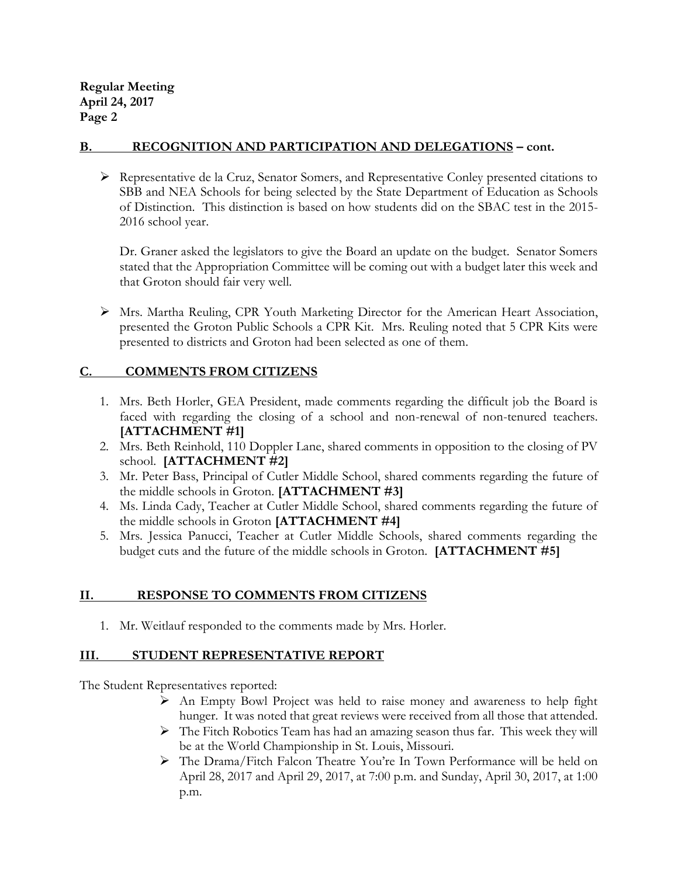#### **B. RECOGNITION AND PARTICIPATION AND DELEGATIONS – cont.**

 Representative de la Cruz, Senator Somers, and Representative Conley presented citations to SBB and NEA Schools for being selected by the State Department of Education as Schools of Distinction. This distinction is based on how students did on the SBAC test in the 2015- 2016 school year.

Dr. Graner asked the legislators to give the Board an update on the budget. Senator Somers stated that the Appropriation Committee will be coming out with a budget later this week and that Groton should fair very well.

 $\triangleright$  Mrs. Martha Reuling, CPR Youth Marketing Director for the American Heart Association, presented the Groton Public Schools a CPR Kit. Mrs. Reuling noted that 5 CPR Kits were presented to districts and Groton had been selected as one of them.

## **C. COMMENTS FROM CITIZENS**

- 1. Mrs. Beth Horler, GEA President, made comments regarding the difficult job the Board is faced with regarding the closing of a school and non-renewal of non-tenured teachers. **[ATTACHMENT #1]**
- 2. Mrs. Beth Reinhold, 110 Doppler Lane, shared comments in opposition to the closing of PV school. **[ATTACHMENT #2]**
- 3. Mr. Peter Bass, Principal of Cutler Middle School, shared comments regarding the future of the middle schools in Groton. **[ATTACHMENT #3]**
- 4. Ms. Linda Cady, Teacher at Cutler Middle School, shared comments regarding the future of the middle schools in Groton **[ATTACHMENT #4]**
- 5. Mrs. Jessica Panucci, Teacher at Cutler Middle Schools, shared comments regarding the budget cuts and the future of the middle schools in Groton. **[ATTACHMENT #5]**

## **II. RESPONSE TO COMMENTS FROM CITIZENS**

1. Mr. Weitlauf responded to the comments made by Mrs. Horler.

## **III. STUDENT REPRESENTATIVE REPORT**

The Student Representatives reported:

- An Empty Bowl Project was held to raise money and awareness to help fight hunger. It was noted that great reviews were received from all those that attended.
- The Fitch Robotics Team has had an amazing season thus far. This week they will be at the World Championship in St. Louis, Missouri.
- The Drama/Fitch Falcon Theatre You're In Town Performance will be held on April 28, 2017 and April 29, 2017, at 7:00 p.m. and Sunday, April 30, 2017, at 1:00 p.m.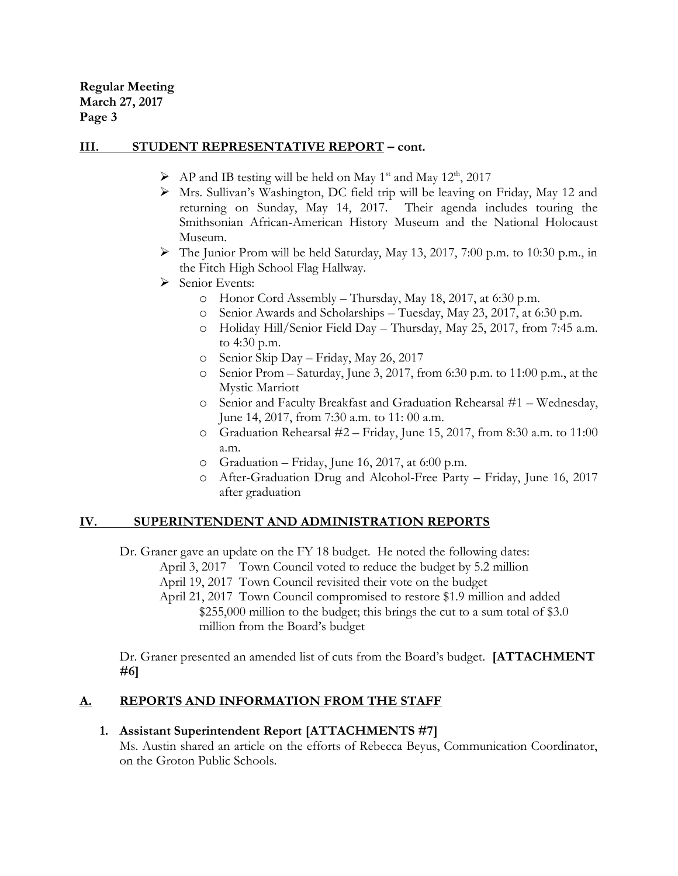**Regular Meeting March 27, 2017 Page 3**

#### **III. STUDENT REPRESENTATIVE REPORT – cont.**

- $\triangleright$  AP and IB testing will be held on May 1<sup>st</sup> and May 12<sup>th</sup>, 2017
- Mrs. Sullivan's Washington, DC field trip will be leaving on Friday, May 12 and returning on Sunday, May 14, 2017. Their agenda includes touring the Smithsonian African-American History Museum and the National Holocaust Museum.
- $\triangleright$  The Junior Prom will be held Saturday, May 13, 2017, 7:00 p.m. to 10:30 p.m., in the Fitch High School Flag Hallway.
- $\triangleright$  Senior Events:
	- o Honor Cord Assembly Thursday, May 18, 2017, at 6:30 p.m.
	- o Senior Awards and Scholarships Tuesday, May 23, 2017, at 6:30 p.m.
	- o Holiday Hill/Senior Field Day Thursday, May 25, 2017, from 7:45 a.m. to 4:30 p.m.
	- o Senior Skip Day Friday, May 26, 2017
	- o Senior Prom Saturday, June 3, 2017, from 6:30 p.m. to 11:00 p.m., at the Mystic Marriott
	- o Senior and Faculty Breakfast and Graduation Rehearsal #1 Wednesday, June 14, 2017, from 7:30 a.m. to 11: 00 a.m.
	- o Graduation Rehearsal #2 Friday, June 15, 2017, from 8:30 a.m. to 11:00 a.m.
	- o Graduation Friday, June 16, 2017, at 6:00 p.m.
	- o After-Graduation Drug and Alcohol-Free Party Friday, June 16, 2017 after graduation

## **IV. SUPERINTENDENT AND ADMINISTRATION REPORTS**

Dr. Graner gave an update on the FY 18 budget. He noted the following dates: April 3, 2017 Town Council voted to reduce the budget by 5.2 million April 19, 2017 Town Council revisited their vote on the budget April 21, 2017 Town Council compromised to restore \$1.9 million and added \$255,000 million to the budget; this brings the cut to a sum total of \$3.0 million from the Board's budget

Dr. Graner presented an amended list of cuts from the Board's budget. **[ATTACHMENT #6]**

## **A. REPORTS AND INFORMATION FROM THE STAFF**

#### **1. Assistant Superintendent Report [ATTACHMENTS #7]**

Ms. Austin shared an article on the efforts of Rebecca Beyus, Communication Coordinator, on the Groton Public Schools.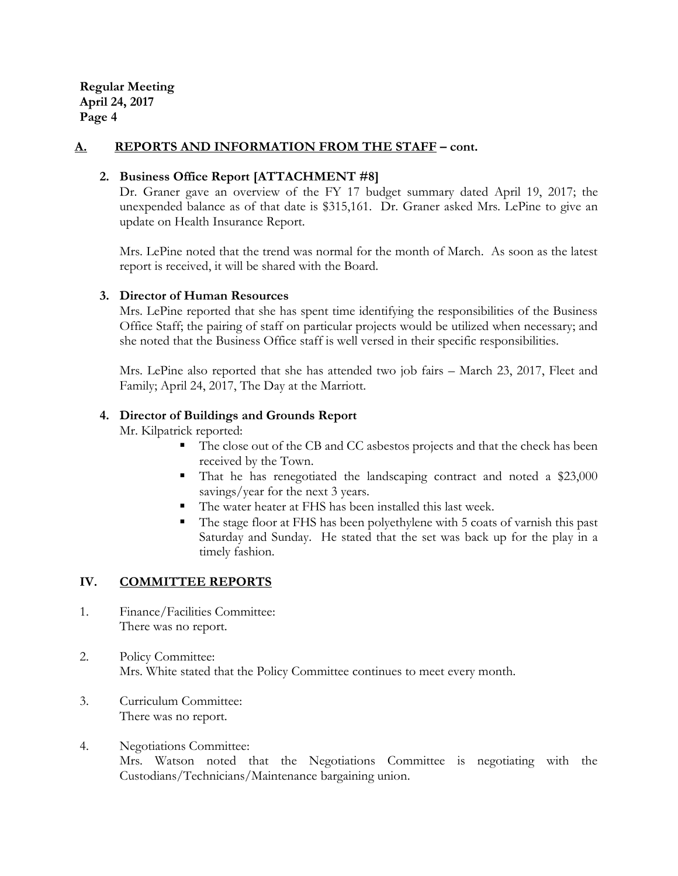#### **A. REPORTS AND INFORMATION FROM THE STAFF – cont.**

#### **2. Business Office Report [ATTACHMENT #8]**

Dr. Graner gave an overview of the FY 17 budget summary dated April 19, 2017; the unexpended balance as of that date is \$315,161. Dr. Graner asked Mrs. LePine to give an update on Health Insurance Report.

Mrs. LePine noted that the trend was normal for the month of March. As soon as the latest report is received, it will be shared with the Board.

#### **3. Director of Human Resources**

Mrs. LePine reported that she has spent time identifying the responsibilities of the Business Office Staff; the pairing of staff on particular projects would be utilized when necessary; and she noted that the Business Office staff is well versed in their specific responsibilities.

Mrs. LePine also reported that she has attended two job fairs – March 23, 2017, Fleet and Family; April 24, 2017, The Day at the Marriott.

#### **4. Director of Buildings and Grounds Report**

Mr. Kilpatrick reported:

- The close out of the CB and CC asbestos projects and that the check has been received by the Town.
- That he has renegotiated the landscaping contract and noted a \$23,000 savings/year for the next 3 years.
- The water heater at FHS has been installed this last week.
- The stage floor at FHS has been polyethylene with 5 coats of varnish this past Saturday and Sunday. He stated that the set was back up for the play in a timely fashion.

#### **IV. COMMITTEE REPORTS**

- 1. Finance/Facilities Committee: There was no report.
- 2. Policy Committee: Mrs. White stated that the Policy Committee continues to meet every month.
- 3. Curriculum Committee: There was no report.
- 4. Negotiations Committee: Mrs. Watson noted that the Negotiations Committee is negotiating with the Custodians/Technicians/Maintenance bargaining union.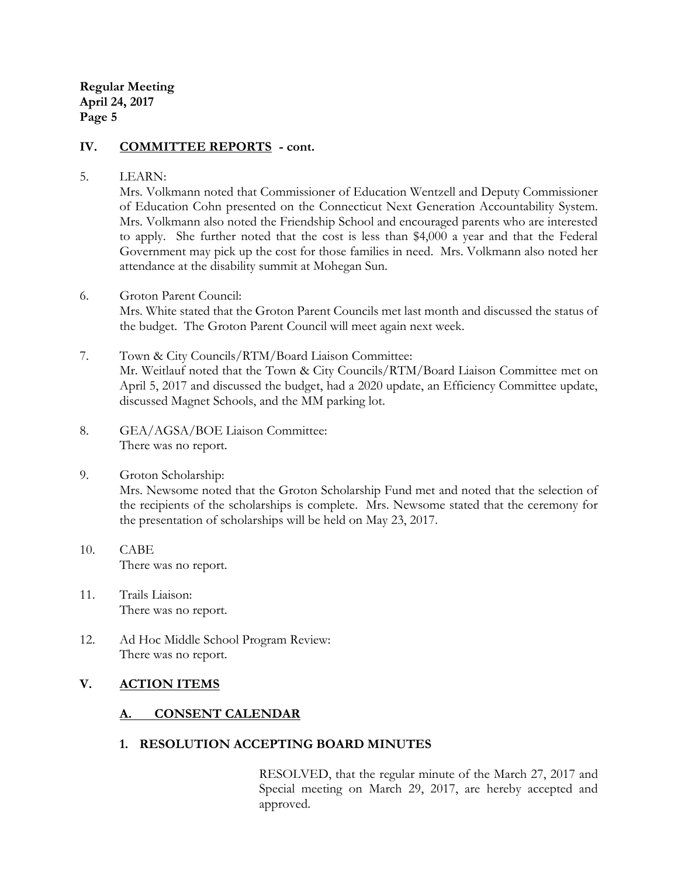#### **IV. COMMITTEE REPORTS - cont.**

#### 5. LEARN:

Mrs. Volkmann noted that Commissioner of Education Wentzell and Deputy Commissioner of Education Cohn presented on the Connecticut Next Generation Accountability System. Mrs. Volkmann also noted the Friendship School and encouraged parents who are interested to apply. She further noted that the cost is less than \$4,000 a year and that the Federal Government may pick up the cost for those families in need. Mrs. Volkmann also noted her attendance at the disability summit at Mohegan Sun.

- 6. Groton Parent Council: Mrs. White stated that the Groton Parent Councils met last month and discussed the status of the budget. The Groton Parent Council will meet again next week.
- 7. Town & City Councils/RTM/Board Liaison Committee: Mr. Weitlauf noted that the Town & City Councils/RTM/Board Liaison Committee met on April 5, 2017 and discussed the budget, had a 2020 update, an Efficiency Committee update, discussed Magnet Schools, and the MM parking lot.
- 8. GEA/AGSA/BOE Liaison Committee: There was no report.
- 9. Groton Scholarship:

Mrs. Newsome noted that the Groton Scholarship Fund met and noted that the selection of the recipients of the scholarships is complete. Mrs. Newsome stated that the ceremony for the presentation of scholarships will be held on May 23, 2017.

- 10. CABE There was no report.
- 11. Trails Liaison: There was no report.
- 12. Ad Hoc Middle School Program Review: There was no report.

## **V. ACTION ITEMS**

# **A. CONSENT CALENDAR**

## **1. RESOLUTION ACCEPTING BOARD MINUTES**

RESOLVED, that the regular minute of the March 27, 2017 and Special meeting on March 29, 2017, are hereby accepted and approved.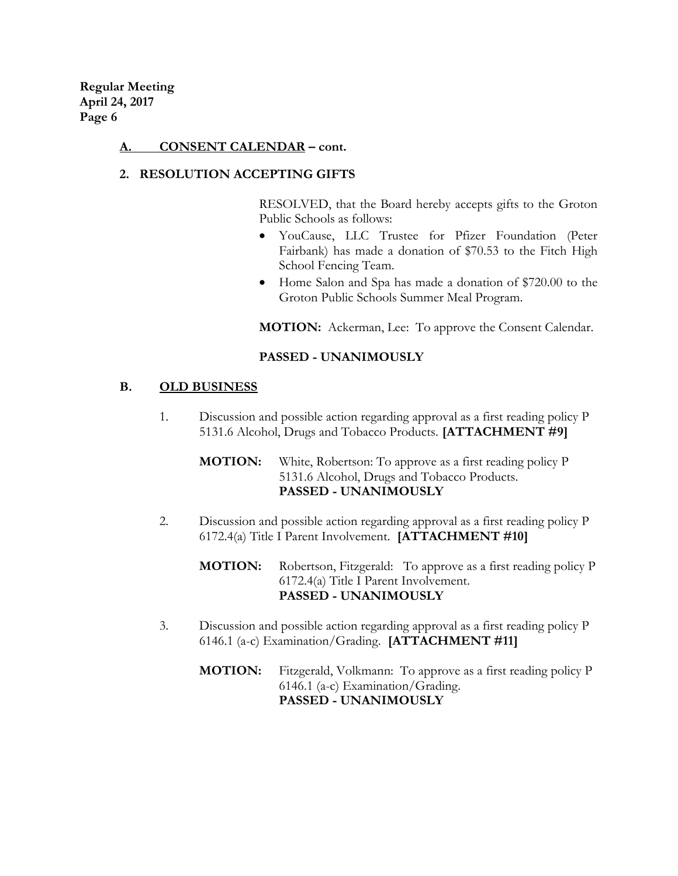#### **A. CONSENT CALENDAR – cont.**

#### **2. RESOLUTION ACCEPTING GIFTS**

RESOLVED, that the Board hereby accepts gifts to the Groton Public Schools as follows:

- YouCause, LLC Trustee for Pfizer Foundation (Peter Fairbank) has made a donation of \$70.53 to the Fitch High School Fencing Team.
- Home Salon and Spa has made a donation of \$720.00 to the Groton Public Schools Summer Meal Program.

**MOTION:** Ackerman, Lee: To approve the Consent Calendar.

#### **PASSED - UNANIMOUSLY**

#### **B. OLD BUSINESS**

1. Discussion and possible action regarding approval as a first reading policy P 5131.6 Alcohol, Drugs and Tobacco Products. **[ATTACHMENT #9]**

#### **MOTION:** White, Robertson: To approve as a first reading policy P 5131.6 Alcohol, Drugs and Tobacco Products. **PASSED - UNANIMOUSLY**

2. Discussion and possible action regarding approval as a first reading policy P 6172.4(a) Title I Parent Involvement. **[ATTACHMENT #10]**

**MOTION:** Robertson, Fitzgerald: To approve as a first reading policy P 6172.4(a) Title I Parent Involvement. **PASSED - UNANIMOUSLY**

- 3. Discussion and possible action regarding approval as a first reading policy P 6146.1 (a-c) Examination/Grading. **[ATTACHMENT #11]**
	- **MOTION:** Fitzgerald, Volkmann: To approve as a first reading policy P 6146.1 (a-c) Examination/Grading. **PASSED - UNANIMOUSLY**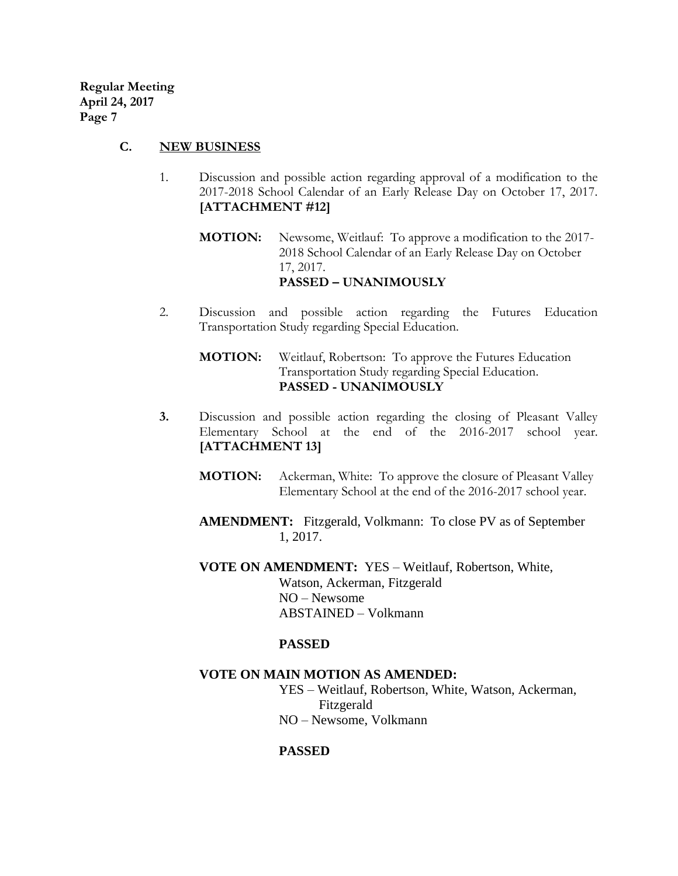#### **C. NEW BUSINESS**

- 1. Discussion and possible action regarding approval of a modification to the 2017-2018 School Calendar of an Early Release Day on October 17, 2017. **[ATTACHMENT #12]**
	- **MOTION:** Newsome, Weitlauf:To approve a modification to the 2017- 2018 School Calendar of an Early Release Day on October 17, 2017. **PASSED – UNANIMOUSLY**
- 2. Discussion and possible action regarding the Futures Education Transportation Study regarding Special Education.

**MOTION:** Weitlauf, Robertson: To approve the Futures Education Transportation Study regarding Special Education. **PASSED - UNANIMOUSLY**

- **3.** Discussion and possible action regarding the closing of Pleasant Valley Elementary School at the end of the 2016-2017 school year. **[ATTACHMENT 13]**
	- **MOTION:** Ackerman, White: To approve the closure of Pleasant Valley Elementary School at the end of the 2016-2017 school year.
	- **AMENDMENT:** Fitzgerald, Volkmann: To close PV as of September 1, 2017.

**VOTE ON AMENDMENT:** YES – Weitlauf, Robertson, White, Watson, Ackerman, Fitzgerald NO – Newsome ABSTAINED – Volkmann

#### **PASSED**

#### **VOTE ON MAIN MOTION AS AMENDED:**

YES – Weitlauf, Robertson, White, Watson, Ackerman, Fitzgerald NO – Newsome, Volkmann

#### **PASSED**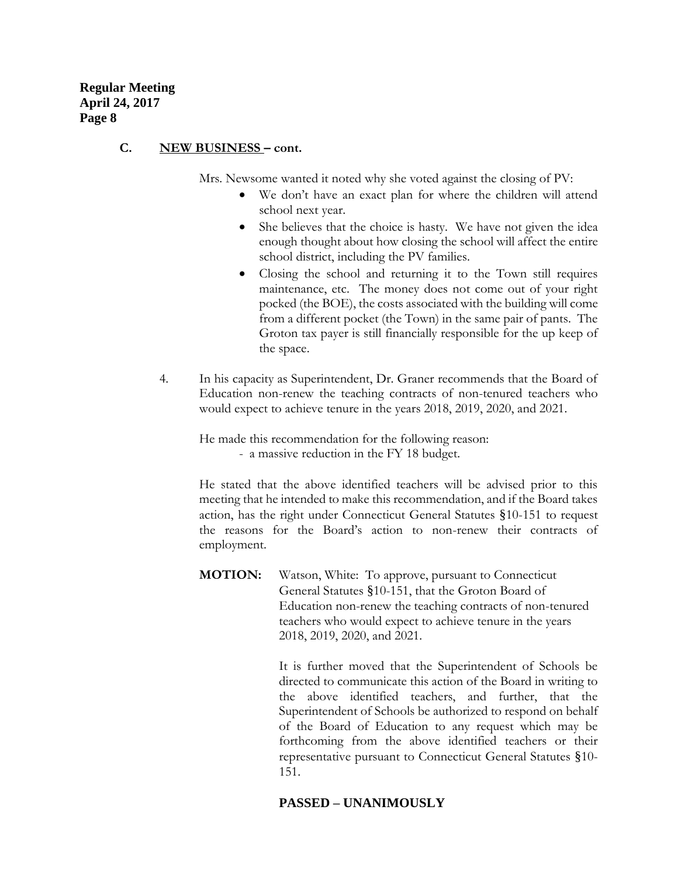#### **C. NEW BUSINESS – cont.**

Mrs. Newsome wanted it noted why she voted against the closing of PV:

- We don't have an exact plan for where the children will attend school next year.
- She believes that the choice is hasty. We have not given the idea enough thought about how closing the school will affect the entire school district, including the PV families.
- Closing the school and returning it to the Town still requires maintenance, etc. The money does not come out of your right pocked (the BOE), the costs associated with the building will come from a different pocket (the Town) in the same pair of pants. The Groton tax payer is still financially responsible for the up keep of the space.
- 4. In his capacity as Superintendent, Dr. Graner recommends that the Board of Education non-renew the teaching contracts of non-tenured teachers who would expect to achieve tenure in the years 2018, 2019, 2020, and 2021.

He made this recommendation for the following reason: - a massive reduction in the FY 18 budget.

He stated that the above identified teachers will be advised prior to this meeting that he intended to make this recommendation, and if the Board takes action, has the right under Connecticut General Statutes §10-151 to request the reasons for the Board's action to non-renew their contracts of employment.

**MOTION:** Watson, White:To approve, pursuant to Connecticut General Statutes §10-151, that the Groton Board of Education non-renew the teaching contracts of non-tenured teachers who would expect to achieve tenure in the years 2018, 2019, 2020, and 2021.

> It is further moved that the Superintendent of Schools be directed to communicate this action of the Board in writing to the above identified teachers, and further, that the Superintendent of Schools be authorized to respond on behalf of the Board of Education to any request which may be forthcoming from the above identified teachers or their representative pursuant to Connecticut General Statutes §10- 151.

## **PASSED – UNANIMOUSLY**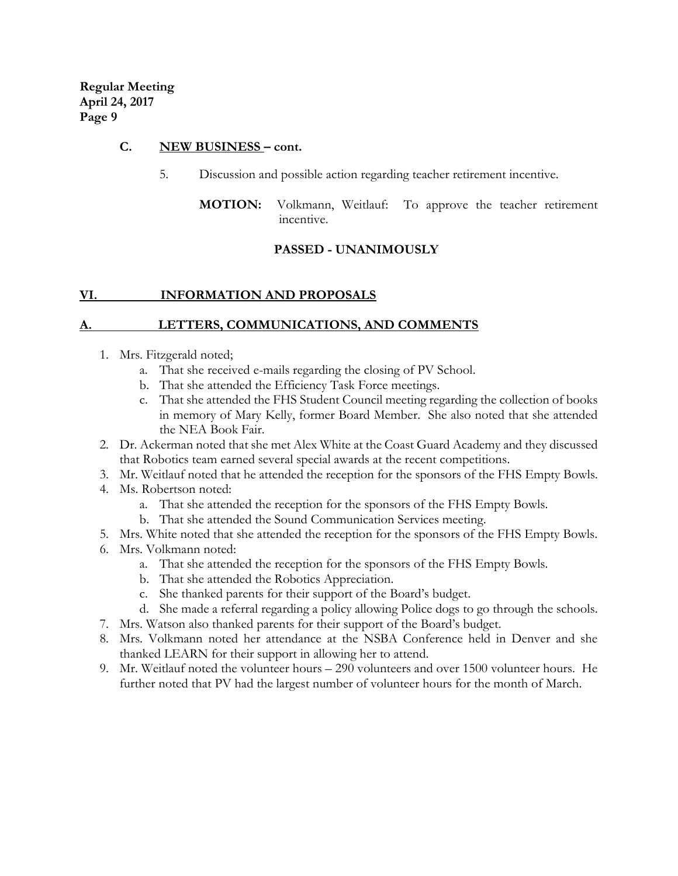#### **C. NEW BUSINESS – cont.**

- 5. Discussion and possible action regarding teacher retirement incentive.
	- **MOTION:** Volkmann, Weitlauf: To approve the teacher retirement incentive.

## **PASSED - UNANIMOUSLY**

## **VI. INFORMATION AND PROPOSALS**

## **A. LETTERS, COMMUNICATIONS, AND COMMENTS**

- 1. Mrs. Fitzgerald noted;
	- a. That she received e-mails regarding the closing of PV School.
	- b. That she attended the Efficiency Task Force meetings.
	- c. That she attended the FHS Student Council meeting regarding the collection of books in memory of Mary Kelly, former Board Member. She also noted that she attended the NEA Book Fair.
- 2. Dr. Ackerman noted that she met Alex White at the Coast Guard Academy and they discussed that Robotics team earned several special awards at the recent competitions.
- 3. Mr. Weitlauf noted that he attended the reception for the sponsors of the FHS Empty Bowls.
- 4. Ms. Robertson noted:
	- a. That she attended the reception for the sponsors of the FHS Empty Bowls.
	- b. That she attended the Sound Communication Services meeting.
- 5. Mrs. White noted that she attended the reception for the sponsors of the FHS Empty Bowls.
- 6. Mrs. Volkmann noted:
	- a. That she attended the reception for the sponsors of the FHS Empty Bowls.
	- b. That she attended the Robotics Appreciation.
	- c. She thanked parents for their support of the Board's budget.
	- d. She made a referral regarding a policy allowing Police dogs to go through the schools.
- 7. Mrs. Watson also thanked parents for their support of the Board's budget.
- 8. Mrs. Volkmann noted her attendance at the NSBA Conference held in Denver and she thanked LEARN for their support in allowing her to attend.
- 9. Mr. Weitlauf noted the volunteer hours 290 volunteers and over 1500 volunteer hours. He further noted that PV had the largest number of volunteer hours for the month of March.